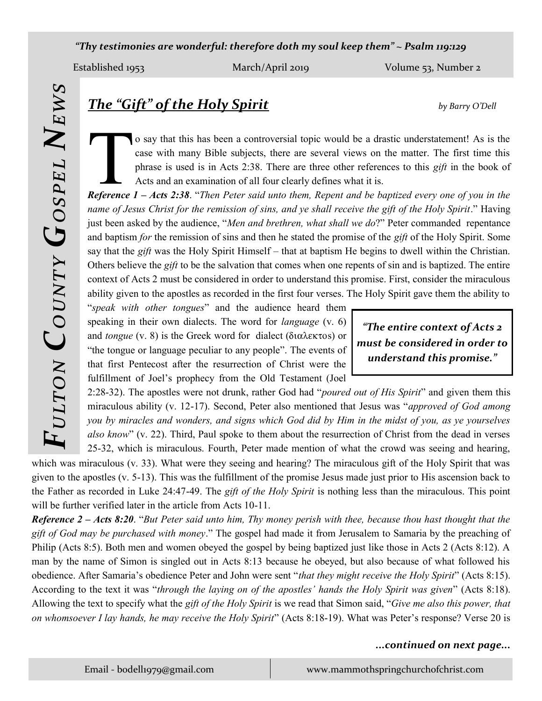*"Thy testimonies are wonderful: therefore doth my soul keep them" ~ Psalm 119:129*

Established 1953 March/April 2019 Volume 53, Number 2

*Fulton County Gospel News*

# *The "Gift" of the Holy Spirit by Barry O'Dell*

**Theorem 2** o say that this has been a controversial topic would be a drastic understatement! As is the case with many Bible subjects, there are several views on the matter. The first time this phrase is used is in Acts 2: o say that this has been a controversial topic would be a drastic understatement! As is the case with many Bible subjects, there are several views on the matter. The first time this phrase is used is in Acts 2:38. There are three other references to this *gift* in the book of Acts and an examination of all four clearly defines what it is.

*name of Jesus Christ for the remission of sins, and ye shall receive the gift of the Holy Spirit*." Having just been asked by the audience, "*Men and brethren, what shall we do*?" Peter commanded repentance and baptism *for* the remission of sins and then he stated the promise of the *gift* of the Holy Spirit. Some say that the *gift* was the Holy Spirit Himself – that at baptism He begins to dwell within the Christian. Others believe the *gift* to be the salvation that comes when one repents of sin and is baptized. The entire context of Acts 2 must be considered in order to understand this promise. First, consider the miraculous ability given to the apostles as recorded in the first four verses. The Holy Spirit gave them the ability to

"*speak with other tongues*" and the audience heard them speaking in their own dialects. The word for *language* (v. 6) and *tongue* (v. 8) is the Greek word for dialect ( $\delta$ t $\alpha \lambda \epsilon$  $\kappa \tau$ os) or "the tongue or language peculiar to any people". The events of that first Pentecost after the resurrection of Christ were the fulfillment of Joel's prophecy from the Old Testament (Joel

*"The entire context of Acts 2 must be considered in order to understand this promise."*

2:28-32). The apostles were not drunk, rather God had "*poured out of His Spirit*" and given them this miraculous ability (v. 12-17). Second, Peter also mentioned that Jesus was "*approved of God among you by miracles and wonders, and signs which God did by Him in the midst of you, as ye yourselves also know*" (v. 22). Third, Paul spoke to them about the resurrection of Christ from the dead in verses 25-32, which is miraculous. Fourth, Peter made mention of what the crowd was seeing and hearing,

which was miraculous (v. 33). What were they seeing and hearing? The miraculous gift of the Holy Spirit that was given to the apostles (v. 5-13). This was the fulfillment of the promise Jesus made just prior to His ascension back to the Father as recorded in Luke 24:47-49. The *gift of the Holy Spirit* is nothing less than the miraculous. This point will be further verified later in the article from Acts 10-11.

*Reference 2 – Acts 8:20*. "*But Peter said unto him, Thy money perish with thee, because thou hast thought that the gift of God may be purchased with money*." The gospel had made it from Jerusalem to Samaria by the preaching of Philip (Acts 8:5). Both men and women obeyed the gospel by being baptized just like those in Acts 2 (Acts 8:12). A man by the name of Simon is singled out in Acts 8:13 because he obeyed, but also because of what followed his obedience. After Samaria's obedience Peter and John were sent "*that they might receive the Holy Spirit*" (Acts 8:15). According to the text it was "*through the laying on of the apostles' hands the Holy Spirit was given*" (Acts 8:18). Allowing the text to specify what the *gift of the Holy Spirit* is we read that Simon said, "*Give me also this power, that on whomsoever I lay hands, he may receive the Holy Spirit*" (Acts 8:18-19). What was Peter's response? Verse 20 is

## *...continued on next page...*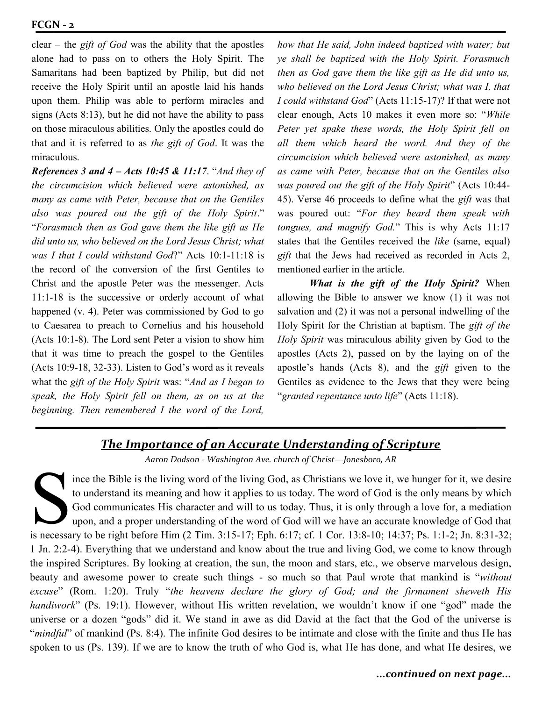clear – the *gift of God* was the ability that the apostles alone had to pass on to others the Holy Spirit. The Samaritans had been baptized by Philip, but did not receive the Holy Spirit until an apostle laid his hands upon them. Philip was able to perform miracles and signs (Acts 8:13), but he did not have the ability to pass on those miraculous abilities. Only the apostles could do that and it is referred to as *the gift of God*. It was the miraculous.

*References 3 and 4 – Acts 10:45 & 11:17*. "*And they of the circumcision which believed were astonished, as many as came with Peter, because that on the Gentiles also was poured out the gift of the Holy Spirit*." "*Forasmuch then as God gave them the like gift as He did unto us, who believed on the Lord Jesus Christ; what was I that I could withstand God*?" Acts 10:1-11:18 is the record of the conversion of the first Gentiles to Christ and the apostle Peter was the messenger. Acts 11:1-18 is the successive or orderly account of what happened (v. 4). Peter was commissioned by God to go to Caesarea to preach to Cornelius and his household (Acts 10:1-8). The Lord sent Peter a vision to show him that it was time to preach the gospel to the Gentiles (Acts 10:9-18, 32-33). Listen to God's word as it reveals what the *gift of the Holy Spirit* was: "*And as I began to speak, the Holy Spirit fell on them, as on us at the beginning. Then remembered I the word of the Lord,* 

*how that He said, John indeed baptized with water; but ye shall be baptized with the Holy Spirit. Forasmuch then as God gave them the like gift as He did unto us, who believed on the Lord Jesus Christ; what was I, that I could withstand God*" (Acts 11:15-17)? If that were not clear enough, Acts 10 makes it even more so: "*While Peter yet spake these words, the Holy Spirit fell on all them which heard the word. And they of the circumcision which believed were astonished, as many as came with Peter, because that on the Gentiles also was poured out the gift of the Holy Spirit*" (Acts 10:44- 45). Verse 46 proceeds to define what the *gift* was that was poured out: "*For they heard them speak with tongues, and magnify God.*" This is why Acts 11:17 states that the Gentiles received the *like* (same, equal) *gift* that the Jews had received as recorded in Acts 2, mentioned earlier in the article.

*What is the gift of the Holy Spirit?* When allowing the Bible to answer we know (1) it was not salvation and (2) it was not a personal indwelling of the Holy Spirit for the Christian at baptism. The *gift of the Holy Spirit* was miraculous ability given by God to the apostles (Acts 2), passed on by the laying on of the apostle's hands (Acts 8), and the *gift* given to the Gentiles as evidence to the Jews that they were being "*granted repentance unto life*" (Acts 11:18).

## *The Importance of an Accurate Understanding of Scripture*

*Aaron Dodson - Washington Ave. church of Christ—Jonesboro, AR*

ince the Bible is the living word of the living God, as Christians we love it, we hunger for it, we desire<br>to understand its meaning and how it applies to us today. The word of God is the only means by which<br>God communicat ince the Bible is the living word of the living God, as Christians we love it, we hunger for it, we desire to understand its meaning and how it applies to us today. The word of God is the only means by which God communicates His character and will to us today. Thus, it is only through a love for, a mediation upon, and a proper understanding of the word of God will we have an accurate knowledge of God that 1 Jn. 2:2-4). Everything that we understand and know about the true and living God, we come to know through the inspired Scriptures. By looking at creation, the sun, the moon and stars, etc., we observe marvelous design, beauty and awesome power to create such things - so much so that Paul wrote that mankind is "*without excuse*" (Rom. 1:20). Truly "*the heavens declare the glory of God; and the firmament sheweth His handiwork*" (Ps. 19:1). However, without His written revelation, we wouldn't know if one "god" made the universe or a dozen "gods" did it. We stand in awe as did David at the fact that the God of the universe is "*mindful*" of mankind (Ps. 8:4). The infinite God desires to be intimate and close with the finite and thus He has spoken to us (Ps. 139). If we are to know the truth of who God is, what He has done, and what He desires, we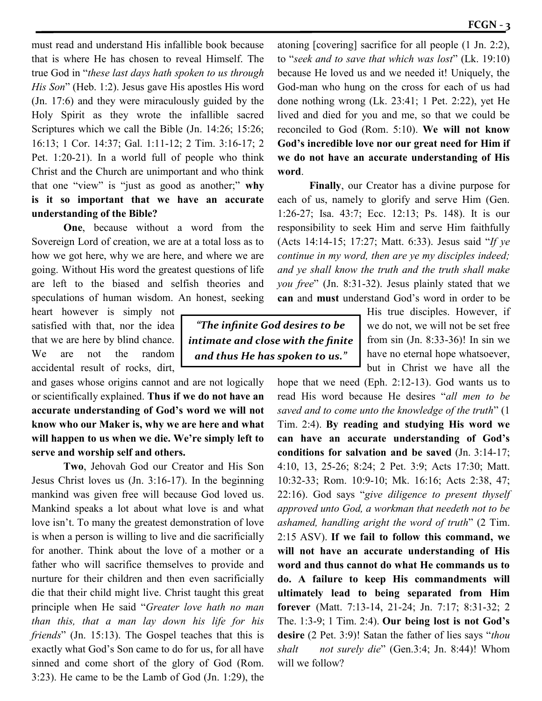must read and understand His infallible book because that is where He has chosen to reveal Himself. The true God in "*these last days hath spoken to us through His Son*" (Heb. 1:2). Jesus gave His apostles His word (Jn. 17:6) and they were miraculously guided by the Holy Spirit as they wrote the infallible sacred Scriptures which we call the Bible (Jn. 14:26; 15:26; 16:13; 1 Cor. 14:37; Gal. 1:11-12; 2 Tim. 3:16-17; 2 Pet. 1:20-21). In a world full of people who think Christ and the Church are unimportant and who think that one "view" is "just as good as another;" **why is it so important that we have an accurate understanding of the Bible?**

**One**, because without a word from the Sovereign Lord of creation, we are at a total loss as to how we got here, why we are here, and where we are going. Without His word the greatest questions of life are left to the biased and selfish theories and speculations of human wisdom. An honest, seeking

heart however is simply not satisfied with that, nor the idea that we are here by blind chance. We are not the random accidental result of rocks, dirt,

and gases whose origins cannot and are not logically or scientifically explained. **Thus if we do not have an accurate understanding of God's word we will not know who our Maker is, why we are here and what will happen to us when we die. We're simply left to serve and worship self and others.** 

**Two**, Jehovah God our Creator and His Son Jesus Christ loves us (Jn. 3:16-17). In the beginning mankind was given free will because God loved us. Mankind speaks a lot about what love is and what love isn't. To many the greatest demonstration of love is when a person is willing to live and die sacrificially for another. Think about the love of a mother or a father who will sacrifice themselves to provide and nurture for their children and then even sacrificially die that their child might live. Christ taught this great principle when He said "*Greater love hath no man than this, that a man lay down his life for his friends*" (Jn. 15:13). The Gospel teaches that this is exactly what God's Son came to do for us, for all have sinned and come short of the glory of God (Rom. 3:23). He came to be the Lamb of God (Jn. 1:29), the

*"The infinite God desires to be intimate and close with the finite and thus He has spoken to us."*

atoning [covering] sacrifice for all people (1 Jn. 2:2), to "*seek and to save that which was lost*" (Lk. 19:10) because He loved us and we needed it! Uniquely, the God-man who hung on the cross for each of us had done nothing wrong (Lk. 23:41; 1 Pet. 2:22), yet He lived and died for you and me, so that we could be reconciled to God (Rom. 5:10). **We will not know God's incredible love nor our great need for Him if we do not have an accurate understanding of His word**.

**Finally**, our Creator has a divine purpose for each of us, namely to glorify and serve Him (Gen. 1:26-27; Isa. 43:7; Ecc. 12:13; Ps. 148). It is our responsibility to seek Him and serve Him faithfully (Acts 14:14-15; 17:27; Matt. 6:33). Jesus said "*If ye continue in my word, then are ye my disciples indeed; and ye shall know the truth and the truth shall make you free*" (Jn. 8:31-32). Jesus plainly stated that we **can** and **must** understand God's word in order to be

> His true disciples. However, if we do not, we will not be set free from sin (Jn. 8:33-36)! In sin we have no eternal hope whatsoever, but in Christ we have all the

hope that we need (Eph. 2:12-13). God wants us to read His word because He desires "*all men to be saved and to come unto the knowledge of the truth*" (1 Tim. 2:4). **By reading and studying His word we can have an accurate understanding of God's conditions for salvation and be saved** (Jn. 3:14-17; 4:10, 13, 25-26; 8:24; 2 Pet. 3:9; Acts 17:30; Matt. 10:32-33; Rom. 10:9-10; Mk. 16:16; Acts 2:38, 47; 22:16). God says "*give diligence to present thyself approved unto God, a workman that needeth not to be ashamed, handling aright the word of truth*" (2 Tim. 2:15 ASV). **If we fail to follow this command, we will not have an accurate understanding of His word and thus cannot do what He commands us to do. A failure to keep His commandments will ultimately lead to being separated from Him forever** (Matt. 7:13-14, 21-24; Jn. 7:17; 8:31-32; 2 The. 1:3-9; 1 Tim. 2:4). **Our being lost is not God's desire** (2 Pet. 3:9)! Satan the father of lies says "*thou shalt not surely die*" (Gen.3:4; Jn. 8:44)! Whom will we follow?